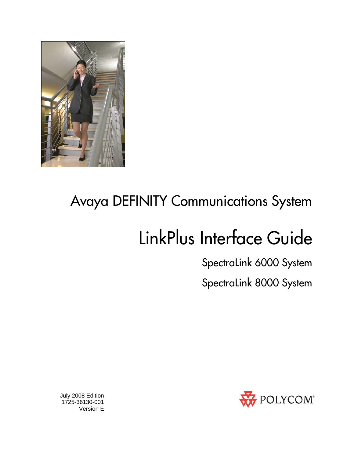

# Avaya DEFINITY Communications System

# LinkPlus Interface Guide

SpectraLink 6000 System

SpectraLink 8000 System



 July 2008 Edition 1725-36130-001 Version E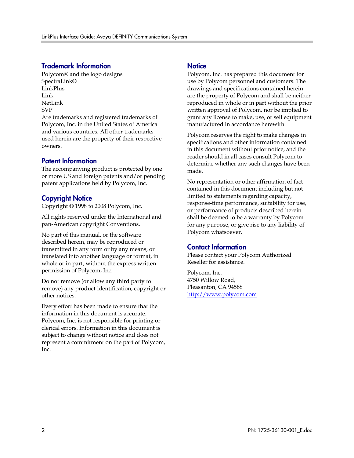#### Trademark Information

Polycom® and the logo designs SpectraLink® LinkPlus Link NetLink SVP

Are trademarks and registered trademarks of Polycom, Inc. in the United States of America and various countries. All other trademarks used herein are the property of their respective owners.

#### Patent Information

The accompanying product is protected by one or more US and foreign patents and/or pending patent applications held by Polycom, Inc.

#### Copyright Notice

Copyright © 1998 to 2008 Polycom, Inc.

All rights reserved under the International and pan-American copyright Conventions.

No part of this manual, or the software described herein, may be reproduced or transmitted in any form or by any means, or translated into another language or format, in whole or in part, without the express written permission of Polycom, Inc.

Do not remove (or allow any third party to remove) any product identification, copyright or other notices.

Every effort has been made to ensure that the information in this document is accurate. Polycom, Inc. is not responsible for printing or clerical errors. Information in this document is subject to change without notice and does not represent a commitment on the part of Polycom, Inc.

#### **Notice**

Polycom, Inc. has prepared this document for use by Polycom personnel and customers. The drawings and specifications contained herein are the property of Polycom and shall be neither reproduced in whole or in part without the prior written approval of Polycom, nor be implied to grant any license to make, use, or sell equipment manufactured in accordance herewith.

Polycom reserves the right to make changes in specifications and other information contained in this document without prior notice, and the reader should in all cases consult Polycom to determine whether any such changes have been made.

No representation or other affirmation of fact contained in this document including but not limited to statements regarding capacity, response-time performance, suitability for use, or performance of products described herein shall be deemed to be a warranty by Polycom for any purpose, or give rise to any liability of Polycom whatsoever.

#### Contact Information

Please contact your Polycom Authorized Reseller for assistance.

Polycom, Inc. 4750 Willow Road, Pleasanton, CA 94588 [http://www.polycom.com](http://www.polycom.com/)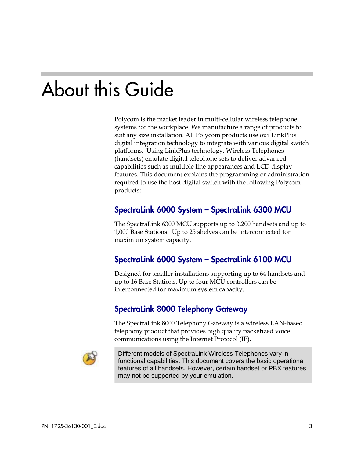# About this Guide

Polycom is the market leader in multi-cellular wireless telephone systems for the workplace. We manufacture a range of products to suit any size installation. All Polycom products use our LinkPlus digital integration technology to integrate with various digital switch platforms. Using LinkPlus technology, Wireless Telephones (handsets) emulate digital telephone sets to deliver advanced capabilities such as multiple line appearances and LCD display features. This document explains the programming or administration required to use the host digital switch with the following Polycom products:

### SpectraLink 6000 System – SpectraLink 6300 MCU

The SpectraLink 6300 MCU supports up to 3,200 handsets and up to 1,000 Base Stations. Up to 25 shelves can be interconnected for maximum system capacity.

### SpectraLink 6000 System – SpectraLink 6100 MCU

Designed for smaller installations supporting up to 64 handsets and up to 16 Base Stations. Up to four MCU controllers can be interconnected for maximum system capacity.

### SpectraLink 8000 Telephony Gateway

The SpectraLink 8000 Telephony Gateway is a wireless LAN-based telephony product that provides high quality packetized voice communications using the Internet Protocol (IP).



Different models of SpectraLink Wireless Telephones vary in functional capabilities. This document covers the basic operational features of all handsets. However, certain handset or PBX features may not be supported by your emulation.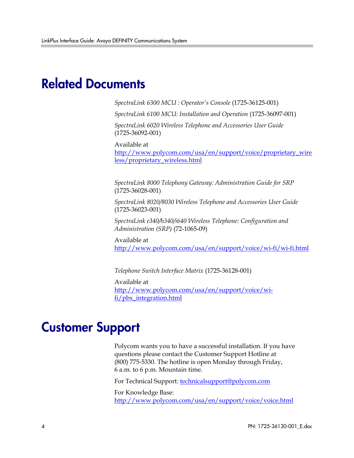## Related Documents

*SpectraLink 6300 MCU : Operator's Console* (1725-36125-001)

*SpectraLink 6100 MCU: Installation and Operation* (1725-36097-001)

*SpectraLink 6020 Wireless Telephone and Accessories User Guide*  (1725-36092-001)

Available at

[http://www.polycom.com/usa/en/support/voice/proprietary\\_wire](http://www.polycom.com/usa/en/support/voice/proprietary_wireless/proprietary_wireless.html) [less/proprietary\\_wireless.html](http://www.polycom.com/usa/en/support/voice/proprietary_wireless/proprietary_wireless.html)

*SpectraLink 8000 Telephony Gateway: Administration Guide for SRP*  (1725-36028-001)

*SpectraLink 8020/8030 Wireless Telephone and Accessories User Guide*  (1725-36023-001)

*SpectraLink e340/h340/i640 Wireless Telephone: Configuration and Administration (SRP)* (72-1065-09)

Available at <http://www.polycom.com/usa/en/support/voice/wi-fi/wi-fi.html>

*Telephone Switch Interface Matrix* (1725-36128-001)

Available at [http://www.polycom.com/usa/en/support/voice/wi](http://www.polycom.com/usa/en/support/voice/wi-fi/pbx_integration.html)[fi/pbx\\_integration.html](http://www.polycom.com/usa/en/support/voice/wi-fi/pbx_integration.html)

### Customer Support

Polycom wants you to have a successful installation. If you have questions please contact the Customer Support Hotline at (800) 775-5330. The hotline is open Monday through Friday, 6 a.m. to 6 p.m. Mountain time.

For Technical Support: [technicalsupport@polycom.com](mailto:technicalsupport@polycom.com)

For Knowledge Base: <http://www.polycom.com/usa/en/support/voice/voice.html>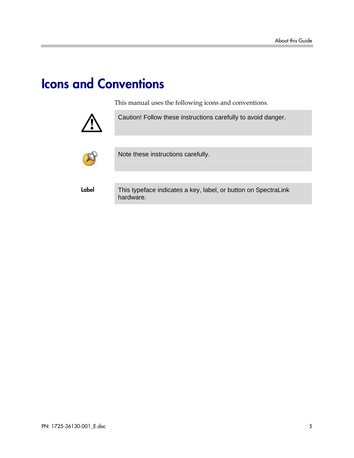# Icons and Conventions

This manual uses the following icons and conventions.



Caution! Follow these instructions carefully to avoid danger.



Note these instructions carefully.

Label This typeface indicates a key, label, or button on SpectraLink hardware.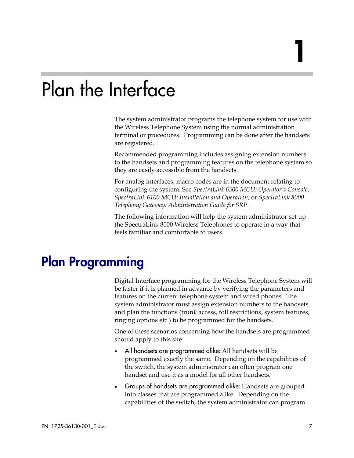# Plan the Interface

The system administrator programs the telephone system for use with the Wireless Telephone System using the normal administration terminal or procedures. Programming can be done after the handsets are registered.

Recommended programming includes assigning extension numbers to the handsets and programming features on the telephone system so they are easily accessible from the handsets.

For analog interfaces, macro codes are in the document relating to configuring the system. See *SpectraLink 6300 MCU: Operator's Console*, *SpectraLink 6100 MCU: Installation and Operation,* or *SpectraLink 8000 Telephony Gateway: Administration Guide for SRP*.

The following information will help the system administrator set up the SpectraLink 8000 Wireless Telephones to operate in a way that feels familiar and comfortable to users.

## Plan Programming

Digital Interface programming for the Wireless Telephone System will be faster if it is planned in advance by verifying the parameters and features on the current telephone system and wired phones. The system administrator must assign extension numbers to the handsets and plan the functions (trunk access, toll restrictions, system features, ringing options etc.) to be programmed for the handsets.

One of these scenarios concerning how the handsets are programmed should apply to this site:

- All handsets are programmed alike: All handsets will be programmed exactly the same. Depending on the capabilities of the switch, the system administrator can often program one handset and use it as a model for all other handsets.
- Groups of handsets are programmed alike: Handsets are grouped into classes that are programmed alike. Depending on the capabilities of the switch, the system administrator can program

1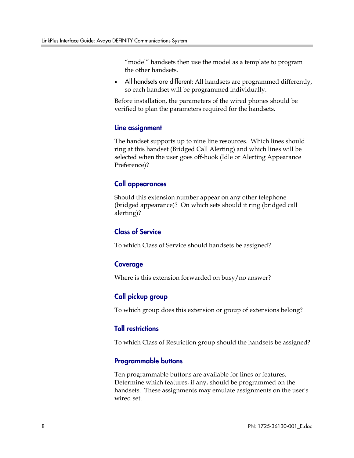"model" handsets then use the model as a template to program the other handsets.

• All handsets are different: All handsets are programmed differently, so each handset will be programmed individually.

Before installation, the parameters of the wired phones should be verified to plan the parameters required for the handsets.

#### Line assignment

The handset supports up to nine line resources. Which lines should ring at this handset (Bridged Call Alerting) and which lines will be selected when the user goes off-hook (Idle or Alerting Appearance Preference)?

#### Call appearances

Should this extension number appear on any other telephone (bridged appearance)? On which sets should it ring (bridged call alerting)?

#### Class of Service

To which Class of Service should handsets be assigned?

#### Coverage

Where is this extension forwarded on busy/no answer?

#### Call pickup group

To which group does this extension or group of extensions belong?

#### Toll restrictions

To which Class of Restriction group should the handsets be assigned?

#### Programmable buttons

Ten programmable buttons are available for lines or features. Determine which features, if any, should be programmed on the handsets. These assignments may emulate assignments on the user's wired set.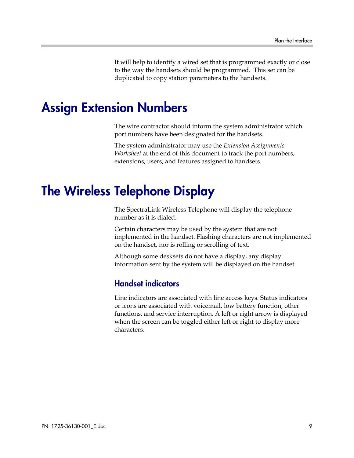It will help to identify a wired set that is programmed exactly or close to the way the handsets should be programmed. This set can be duplicated to copy station parameters to the handsets.

## Assign Extension Numbers

The wire contractor should inform the system administrator which port numbers have been designated for the handsets.

The system administrator may use the *Extension Assignments Worksheet* at the end of this document to track the port numbers, extensions, users, and features assigned to handsets.

# The Wireless Telephone Display

The SpectraLink Wireless Telephone will display the telephone number as it is dialed.

Certain characters may be used by the system that are not implemented in the handset. Flashing characters are not implemented on the handset, nor is rolling or scrolling of text.

Although some desksets do not have a display, any display information sent by the system will be displayed on the handset.

### Handset indicators

Line indicators are associated with line access keys. Status indicators or icons are associated with voicemail, low battery function, other functions, and service interruption. A left or right arrow is displayed when the screen can be toggled either left or right to display more characters.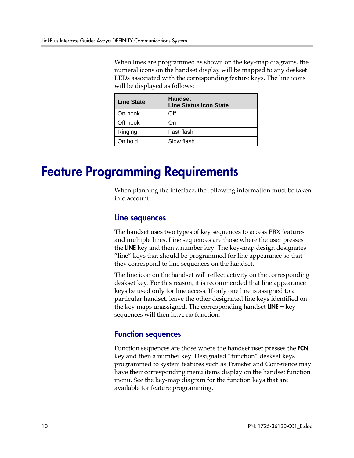When lines are programmed as shown on the key-map diagrams, the numeral icons on the handset display will be mapped to any deskset LEDs associated with the corresponding feature keys. The line icons will be displayed as follows:

| <b>Line State</b> | <b>Handset</b><br><b>Line Status Icon State</b> |
|-------------------|-------------------------------------------------|
| On-hook           | Off                                             |
| Off-hook          | On                                              |
| Ringing           | Fast flash                                      |
| On hold           | Slow flash                                      |

## Feature Programming Requirements

When planning the interface, the following information must be taken into account:

#### Line sequences

The handset uses two types of key sequences to access PBX features and multiple lines. Line sequences are those where the user presses the LINE key and then a number key. The key-map design designates "line" keys that should be programmed for line appearance so that they correspond to line sequences on the handset.

The line icon on the handset will reflect activity on the corresponding deskset key. For this reason, it is recommended that line appearance keys be used only for line access. If only one line is assigned to a particular handset, leave the other designated line keys identified on the key maps unassigned. The corresponding handset  $LINE + key$ sequences will then have no function.

### Function sequences

Function sequences are those where the handset user presses the FCN key and then a number key. Designated "function" deskset keys programmed to system features such as Transfer and Conference may have their corresponding menu items display on the handset function menu. See the key-map diagram for the function keys that are available for feature programming.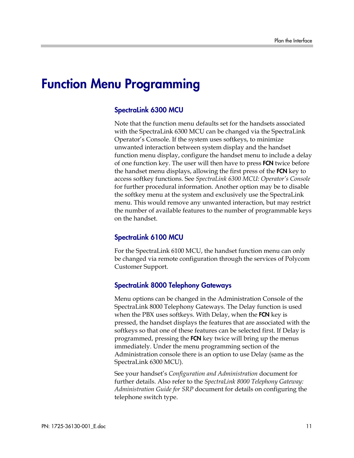## Function Menu Programming

#### SpectraLink 6300 MCU

Note that the function menu defaults set for the handsets associated with the SpectraLink 6300 MCU can be changed via the SpectraLink Operator's Console. If the system uses softkeys, to minimize unwanted interaction between system display and the handset function menu display, configure the handset menu to include a delay of one function key. The user will then have to press **FCN** twice before the handset menu displays, allowing the first press of the FCN key to access softkey functions. See *SpectraLink 6300 MCU: Operator's Console* for further procedural information. Another option may be to disable the softkey menu at the system and exclusively use the SpectraLink menu. This would remove any unwanted interaction, but may restrict the number of available features to the number of programmable keys on the handset.

#### SpectraLink 6100 MCU

For the SpectraLink 6100 MCU, the handset function menu can only be changed via remote configuration through the services of Polycom Customer Support.

#### SpectraLink 8000 Telephony Gateways

Menu options can be changed in the Administration Console of the SpectraLink 8000 Telephony Gateways. The Delay function is used when the PBX uses softkeys. With Delay, when the FCN key is pressed, the handset displays the features that are associated with the softkeys so that one of these features can be selected first. If Delay is programmed, pressing the FCN key twice will bring up the menus immediately. Under the menu programming section of the Administration console there is an option to use Delay (same as the SpectraLink 6300 MCU).

See your handset's *Configuration and Administration* document for further details. Also refer to the *SpectraLink 8000 Telephony Gateway: Administration Guide for SRP* document for details on configuring the telephone switch type.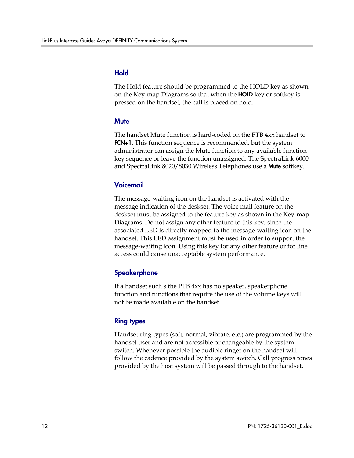#### Hold

The Hold feature should be programmed to the HOLD key as shown on the Key-map Diagrams so that when the **HOLD** key or softkey is pressed on the handset, the call is placed on hold.

#### **Mute**

The handset Mute function is hard-coded on the PTB 4xx handset to **FCN+1**. This function sequence is recommended, but the system administrator can assign the Mute function to any available function key sequence or leave the function unassigned. The SpectraLink 6000 and SpectraLink 8020/8030 Wireless Telephones use a **Mute** softkey.

#### Voicemail

The message-waiting icon on the handset is activated with the message indication of the deskset. The voice mail feature on the deskset must be assigned to the feature key as shown in the Key-map Diagrams. Do not assign any other feature to this key, since the associated LED is directly mapped to the message-waiting icon on the handset. This LED assignment must be used in order to support the message-waiting icon. Using this key for any other feature or for line access could cause unacceptable system performance.

#### **Speakerphone**

If a handset such s the PTB 4xx has no speaker, speakerphone function and functions that require the use of the volume keys will not be made available on the handset.

#### Ring types

Handset ring types (soft, normal, vibrate, etc.) are programmed by the handset user and are not accessible or changeable by the system switch. Whenever possible the audible ringer on the handset will follow the cadence provided by the system switch. Call progress tones provided by the host system will be passed through to the handset.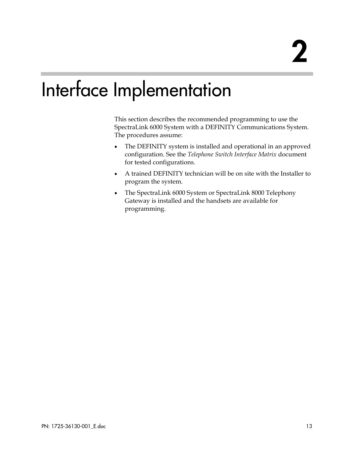# Interface Implementation

This section describes the recommended programming to use the SpectraLink 6000 System with a DEFINITY Communications System. The procedures assume:

- The DEFINITY system is installed and operational in an approved configuration. See the *Telephone Switch Interface Matrix* document for tested configurations.
- A trained DEFINITY technician will be on site with the Installer to program the system.
- The SpectraLink 6000 System or SpectraLink 8000 Telephony Gateway is installed and the handsets are available for programming.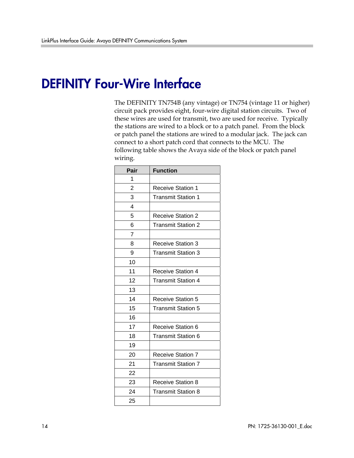## DEFINITY Four-Wire Interface

The DEFINITY TN754B (any vintage) or TN754 (vintage 11 or higher) circuit pack provides eight, four-wire digital station circuits. Two of these wires are used for transmit, two are used for receive. Typically the stations are wired to a block or to a patch panel. From the block or patch panel the stations are wired to a modular jack. The jack can connect to a short patch cord that connects to the MCU. The following table shows the Avaya side of the block or patch panel wiring.

| Pair           | <b>Function</b>           |  |  |
|----------------|---------------------------|--|--|
| 1              |                           |  |  |
| $\overline{2}$ | <b>Receive Station 1</b>  |  |  |
| 3              | <b>Transmit Station 1</b> |  |  |
| 4              |                           |  |  |
| 5              | <b>Receive Station 2</b>  |  |  |
| 6              | <b>Transmit Station 2</b> |  |  |
| 7              |                           |  |  |
| 8              | <b>Receive Station 3</b>  |  |  |
| 9              | Transmit Station 3        |  |  |
| 10             |                           |  |  |
| 11             | <b>Receive Station 4</b>  |  |  |
| 12             | <b>Transmit Station 4</b> |  |  |
| 13             |                           |  |  |
| 14             | Receive Station 5         |  |  |
| 15             | <b>Transmit Station 5</b> |  |  |
| 16             |                           |  |  |
| 17             | Receive Station 6         |  |  |
| 18             | Transmit Station 6        |  |  |
| 19             |                           |  |  |
| 20             | <b>Receive Station 7</b>  |  |  |
| 21             | Transmit Station 7        |  |  |
| 22             |                           |  |  |
| 23             | <b>Receive Station 8</b>  |  |  |
| 24             | <b>Transmit Station 8</b> |  |  |
| 25             |                           |  |  |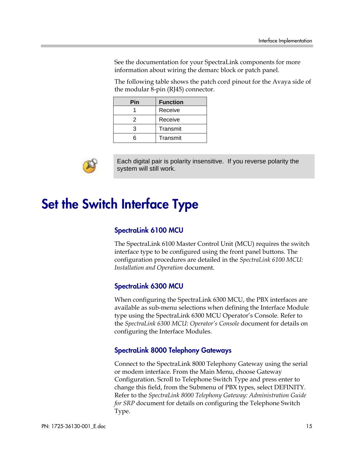See the documentation for your SpectraLink components for more information about wiring the demarc block or patch panel.

The following table shows the patch cord pinout for the Avaya side of the modular 8-pin (RJ45) connector.

| Pin | <b>Function</b> |  |  |
|-----|-----------------|--|--|
|     | Receive         |  |  |
| 2   | Receive         |  |  |
| з   | Transmit        |  |  |
| ่ค  | Transmit        |  |  |



Each digital pair is polarity insensitive. If you reverse polarity the system will still work.

# Set the Switch Interface Type

#### SpectraLink 6100 MCU

The SpectraLink 6100 Master Control Unit (MCU) requires the switch interface type to be configured using the front panel buttons. The configuration procedures are detailed in the *SpectraLink 6100 MCU: Installation and Operation* document.

#### SpectraLink 6300 MCU

When configuring the SpectraLink 6300 MCU, the PBX interfaces are available as sub-menu selections when defining the Interface Module type using the SpectraLink 6300 MCU Operator's Console. Refer to the *SpectraLink 6300 MCU: Operator's Console* document for details on configuring the Interface Modules.

#### SpectraLink 8000 Telephony Gateways

Connect to the SpectraLink 8000 Telephony Gateway using the serial or modem interface. From the Main Menu, choose Gateway Configuration. Scroll to Telephone Switch Type and press enter to change this field, from the Submenu of PBX types, select DEFINITY. Refer to the *SpectraLink 8000 Telephony Gateway: Administration Guide for SRP* document for details on configuring the Telephone Switch Type.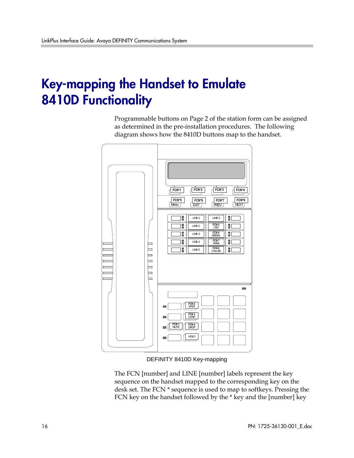# Key-mapping the Handset to Emulate 8410D Functionality

Programmable buttons on Page 2 of the station form can be assigned as determined in the pre-installation procedures. The following diagram shows how the 8410D buttons map to the handset.



DEFINITY 8410D Key-mapping

The FCN [number] and LINE [number] labels represent the key sequence on the handset mapped to the corresponding key on the desk set. The FCN \* sequence is used to map to softkeys. Pressing the FCN key on the handset followed by the \* key and the [number] key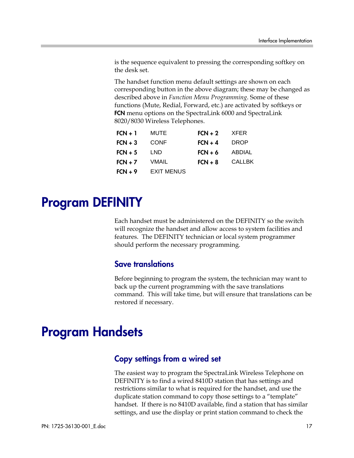is the sequence equivalent to pressing the corresponding softkey on the desk set.

The handset function menu default settings are shown on each corresponding button in the above diagram; these may be changed as described above in *Function Menu Programming*. Some of these functions (Mute, Redial, Forward, etc.) are activated by softkeys or FCN menu options on the SpectraLink 6000 and SpectraLink 8020/8030 Wireless Telephones.

| $FCN + 1$ | <b>MUTE</b>       | $FCN + 2$ | <b>XFER</b>   |
|-----------|-------------------|-----------|---------------|
| $FCN + 3$ | <b>CONF</b>       | $FCN + 4$ | <b>DROP</b>   |
| $FCN + 5$ | LND               | $FCN + 6$ | ABDIAL        |
| $FCN + 7$ | VMAIL             | $FCN + 8$ | <b>CALLBK</b> |
| $FCN + 9$ | <b>EXIT MENUS</b> |           |               |

# Program DEFINITY

Each handset must be administered on the DEFINITY so the switch will recognize the handset and allow access to system facilities and features. The DEFINITY technician or local system programmer should perform the necessary programming.

### Save translations

Before beginning to program the system, the technician may want to back up the current programming with the save translations command. This will take time, but will ensure that translations can be restored if necessary.

# Program Handsets

### Copy settings from a wired set

The easiest way to program the SpectraLink Wireless Telephone on DEFINITY is to find a wired 8410D station that has settings and restrictions similar to what is required for the handset, and use the duplicate station command to copy those settings to a "template" handset. If there is no 8410D available, find a station that has similar settings, and use the display or print station command to check the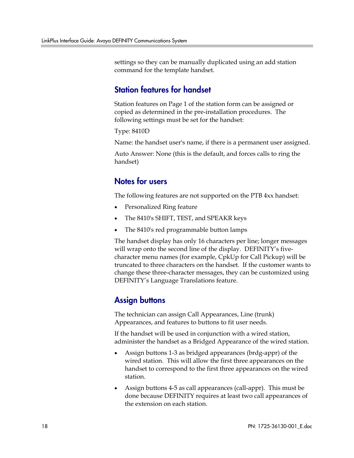settings so they can be manually duplicated using an add station command for the template handset.

### Station features for handset

Station features on Page 1 of the station form can be assigned or copied as determined in the pre-installation procedures. The following settings must be set for the handset:

Type: 8410D

Name: the handset user's name, if there is a permanent user assigned.

Auto Answer: None (this is the default, and forces calls to ring the handset)

### Notes for users

The following features are not supported on the PTB 4xx handset:

- Personalized Ring feature
- The 8410's SHIFT, TEST, and SPEAKR keys
- The 8410's red programmable button lamps

The handset display has only 16 characters per line; longer messages will wrap onto the second line of the display. DEFINITY's fivecharacter menu names (for example, CpkUp for Call Pickup) will be truncated to three characters on the handset. If the customer wants to change these three-character messages, they can be customized using DEFINITY's Language Translations feature.

### Assign buttons

The technician can assign Call Appearances, Line (trunk) Appearances, and features to buttons to fit user needs.

If the handset will be used in conjunction with a wired station, administer the handset as a Bridged Appearance of the wired station.

- Assign buttons 1-3 as bridged appearances (brdg-appr) of the wired station. This will allow the first three appearances on the handset to correspond to the first three appearances on the wired station.
- Assign buttons 4-5 as call appearances (call-appr). This must be done because DEFINITY requires at least two call appearances of the extension on each station.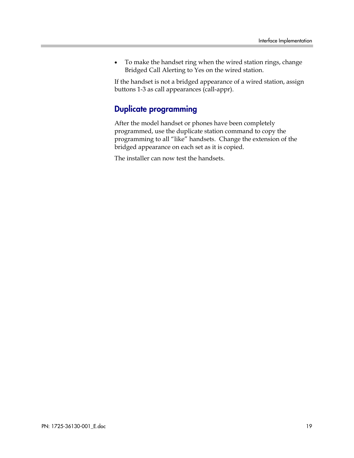• To make the handset ring when the wired station rings, change Bridged Call Alerting to Yes on the wired station.

If the handset is not a bridged appearance of a wired station, assign buttons 1-3 as call appearances (call-appr).

### Duplicate programming

After the model handset or phones have been completely programmed, use the duplicate station command to copy the programming to all "like" handsets. Change the extension of the bridged appearance on each set as it is copied.

The installer can now test the handsets.